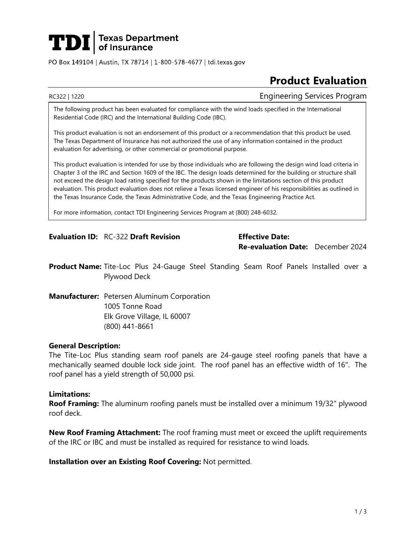# **TDI** Texas Department

PO Box 149104 | Austin, TX 78714 | 1-800-578-4677 | tdi.texas.gov

## **Product Evaluation**

RC322 | 1220 Engineering Services Program

The following product has been evaluated for compliance with the wind loads specified in the International Residential Code (IRC) and the International Building Code (IBC).

This product evaluation is not an endorsement of this product or a recommendation that this product be used. The Texas Department of Insurance has not authorized the use of any information contained in the product evaluation for advertising, or other commercial or promotional purpose.

This product evaluation is intended for use by those individuals who are following the design wind load criteria in Chapter 3 of the IRC and Section 1609 of the IBC. The design loads determined for the building or structure shall not exceed the design load rating specified for the products shown in the limitations section of this product evaluation. This product evaluation does not relieve a Texas licensed engineer of his responsibilities as outlined in the Texas Insurance Code, the Texas Administrative Code, and the Texas Engineering Practice Act.

For more information, contact TDI Engineering Services Program at (800) 248-6032.

#### **Evaluation ID:** RC-322 **Draft Revision Effective Date:**

**Re-evaluation Date:** December 2024

**Product Name:** Tite-Loc Plus 24-Gauge Steel Standing Seam Roof Panels Installed over a Plywood Deck

**Manufacturer:** Petersen Aluminum Corporation 1005 Tonne Road Elk Grove Village, IL 60007 (800) 441-8661

#### **General Description:**

The Tite-Loc Plus standing seam roof panels are 24-gauge steel roofing panels that have a mechanically seamed double lock side joint. The roof panel has an effective width of 16". The roof panel has a yield strength of 50,000 psi.

#### **Limitations:**

**Roof Framing:** The aluminum roofing panels must be installed over a minimum 19/32" plywood roof deck.

**New Roof Framing Attachment:** The roof framing must meet or exceed the uplift requirements of the IRC or IBC and must be installed as required for resistance to wind loads.

**Installation over an Existing Roof Covering:** Not permitted.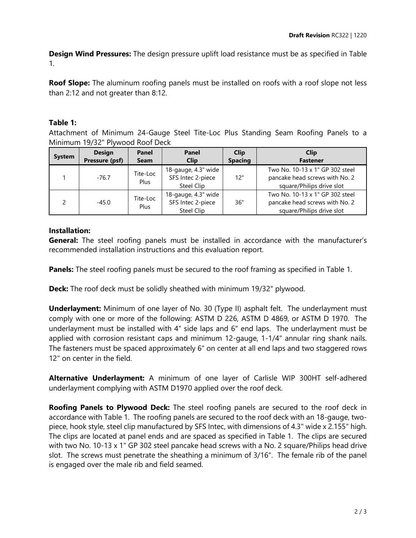**Design Wind Pressures:** The design pressure uplift load resistance must be as specified in Table 1.

**Roof Slope:** The aluminum roofing panels must be installed on roofs with a roof slope not less than 2:12 and not greater than 8:12.

### **Table 1:**

Attachment of Minimum 24-Gauge Steel Tite-Loc Plus Standing Seam Roofing Panels to a Minimum 19/32" Plywood Roof Deck

| <b>System</b> | <b>Design</b><br>Pressure (psf) | Panel<br><b>Seam</b> | Panel<br><b>Clip</b>                                   | <b>Clip</b><br><b>Spacing</b> | <b>Clip</b><br><b>Fastener</b>                                                                 |
|---------------|---------------------------------|----------------------|--------------------------------------------------------|-------------------------------|------------------------------------------------------------------------------------------------|
|               | $-76.7$                         | Tite-Loc<br>Plus     | 18-gauge, 4.3" wide<br>SFS Intec 2-piece<br>Steel Clip | 12"                           | Two No. 10-13 x 1" GP 302 steel<br>pancake head screws with No. 2<br>square/Philips drive slot |
| $\mathcal{D}$ | $-45.0$                         | Tite-Loc<br>Plus     | 18-gauge, 4.3" wide<br>SFS Intec 2-piece<br>Steel Clip | 36"                           | Two No. 10-13 x 1" GP 302 steel<br>pancake head screws with No. 2<br>square/Philips drive slot |

#### **Installation:**

**General:** The steel roofing panels must be installed in accordance with the manufacturer's recommended installation instructions and this evaluation report.

**Panels:** The steel roofing panels must be secured to the roof framing as specified in Table 1.

**Deck:** The roof deck must be solidly sheathed with minimum 19/32" plywood.

**Underlayment:** Minimum of one layer of No. 30 (Type II) asphalt felt. The underlayment must comply with one or more of the following: ASTM D 226, ASTM D 4869, or ASTM D 1970. The underlayment must be installed with 4" side laps and 6" end laps. The underlayment must be applied with corrosion resistant caps and minimum 12-gauge, 1-1/4" annular ring shank nails. The fasteners must be spaced approximately 6" on center at all end laps and two staggered rows 12" on center in the field.

**Alternative Underlayment:** A minimum of one layer of Carlisle WIP 300HT self-adhered underlayment complying with ASTM D1970 applied over the roof deck.

**Roofing Panels to Plywood Deck:** The steel roofing panels are secured to the roof deck in accordance with Table 1. The roofing panels are secured to the roof deck with an 18-gauge, twopiece, hook style, steel clip manufactured by SFS Intec, with dimensions of 4.3" wide x 2.155" high. The clips are located at panel ends and are spaced as specified in Table 1. The clips are secured with two No. 10-13 x 1" GP 302 steel pancake head screws with a No. 2 square/Philips head drive slot. The screws must penetrate the sheathing a minimum of 3/16". The female rib of the panel is engaged over the male rib and field seamed.